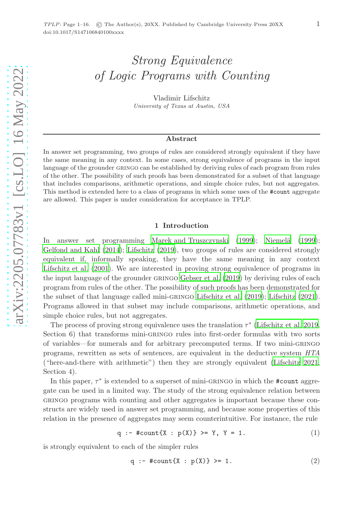# Strong Equivalence of Logic Programs with Counting

Vladimir Lifschitz University of Texas at Austin, USA

# Abstract

In answer set programming, two groups of rules are considered strongly equivalent if they have the same meaning in any context. In some cases, strong equivalence of programs in the input language of the grounder GRINGO can be established by deriving rules of each program from rules of the other. The possibility of such proofs has been demonstrated for a subset of that language that includes comparisons, arithmetic operations, and simple choice rules, but not aggregates. This method is extended here to a class of programs in which some uses of the #count aggregate are allowed. This paper is under consideration for acceptance in TPLP.

# 1 Introduction

In answer set programming [Marek and Truszczynski \(1999\)](#page-15-0); Niemelä (1999); [Gelfond and Kahl \(2014](#page-15-2)); [Lifschitz \(2019\)](#page-15-3), two groups of rules are considered strongly equivalent if, informally speaking, they have the same meaning in any context [Lifschitz et al. \(2001\)](#page-15-4). We are interested in proving strong equivalence of programs in the input language of the grounder GRINGO [Gebser et al. \(2019](#page-15-5)) by deriving rules of each program from rules of the other. The possibility of such proofs has been demonstrated for the subset of that language called mini-gringo [Lifschitz et al. \(2019\)](#page-15-6); [Lifschitz \(2021\)](#page-15-7). Programs allowed in that subset may include comparisons, arithmetic operations, and simple choice rules, but not aggregates.

The process of proving strong equivalence uses the translation  $\tau^*$  [\(Lifschitz et al. 2019,](#page-15-6) Section 6) that transforms mini-GRINGO rules into first-order formulas with two sorts of variables—for numerals and for arbitrary precomputed terms. If two mini-gringo programs, rewritten as sets of sentences, are equivalent in the deductive system *HTA* ("here-and-there with arithmetic") then they are strongly equivalent [\(Lifschitz 2021,](#page-15-7) Section 4).

In this paper,  $\tau^*$  is extended to a superset of mini-GRINGO in which the #count aggregate can be used in a limited way. The study of the strong equivalence relation between gringo programs with counting and other aggregates is important because these constructs are widely used in answer set programming, and because some properties of this relation in the presence of aggregates may seem counterintuitive. For instance, the rule

<span id="page-0-1"></span>
$$
q := #count{X : p(X)} > = Y, Y = 1.
$$
 (1)

is strongly equivalent to each of the simpler rules

<span id="page-0-0"></span>
$$
q : = #count[X : p(X)] > = 1.
$$
 (2)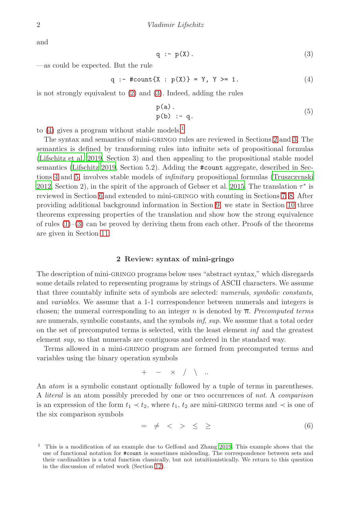and

<span id="page-1-0"></span>
$$
q := p(X). \tag{3}
$$

—as could be expected. But the rule

<span id="page-1-1"></span>
$$
q := #count{X : p(X)} = Y, Y > = 1.
$$
 (4)

is not strongly equivalent to [\(2\)](#page-0-0) and [\(3\)](#page-1-0). Indeed, adding the rules

<span id="page-1-5"></span>
$$
p(a).p(b) :- q.
$$
 (5)

to  $(4)$  gives a program without stable models.<sup>[1](#page-1-2)</sup>

The syntax and semantics of mini-gringo rules are reviewed in Sections [2](#page-1-3) and [3.](#page-2-0) The semantics is defined by transforming rules into infinite sets of propositional formulas [\(Lifschitz et al. 2019,](#page-15-6) Section 3) and then appealing to the propositional stable model semantics [\(Lifschitz 2019,](#page-15-3) Section 5.2). Adding the #count aggregate, described in Sections [4](#page-3-0) and [5,](#page-4-0) involves stable models of *infinitary* propositional formulas [\(Truszczynski](#page-15-8) [2012,](#page-15-8) Section 2), in the spirit of the approach of Gebser et al. [2015.](#page-15-9) The translation  $\tau^*$  is reviewed in Section [6](#page-5-0) and extended to mini-gringo with counting in Sections [7,](#page-6-0) [8.](#page-7-0) After providing additional background information in Section [9,](#page-7-1) we state in Section [10](#page-8-0) three theorems expressing properties of the translation and show how the strong equivalence of rules  $(1)$ – $(3)$  can be proved by deriving them from each other. Proofs of the theorems are given in Section [11.](#page-10-0)

## 2 Review: syntax of mini-gringo

<span id="page-1-3"></span>The description of mini-gringo programs below uses "abstract syntax," which disregards some details related to representing programs by strings of ASCII characters. We assume that three countably infinite sets of symbols are selected: *numerals*, *symbolic constants*, and *variables*. We assume that a 1-1 correspondence between numerals and integers is chosen; the numeral corresponding to an integer n is denoted by  $\overline{n}$ . *Precomputed terms* are numerals, symbolic constants, and the symbols *inf*, *sup*. We assume that a total order on the set of precomputed terms is selected, with the least element *inf* and the greatest element *sup*, so that numerals are contiguous and ordered in the standard way.

Terms allowed in a mini-gringo program are formed from precomputed terms and variables using the binary operation symbols

$$
+ \quad - \quad \times \quad / \quad \backslash \quad ...
$$

An *atom* is a symbolic constant optionally followed by a tuple of terms in parentheses. A *literal* is an atom possibly preceded by one or two occurrences of *not*. A *comparison* is an expression of the form  $t_1 \prec t_2$ , where  $t_1, t_2$  are mini-GRINGO terms and  $\prec$  is one of the six comparison symbols

<span id="page-1-4"></span>
$$
= \neq \langle > \leq \geq \rangle \tag{6}
$$

<span id="page-1-2"></span><sup>&</sup>lt;sup>1</sup> This is a modification of an example due to Gelfond and Zhang [2019](#page-15-10). This example shows that the use of functional notation for #count is sometimes misleading. The correspondence between sets and their cardinalities is a total function classically, but not intuitionistically. We return to this question in the discussion of related work (Section [12\)](#page-14-0).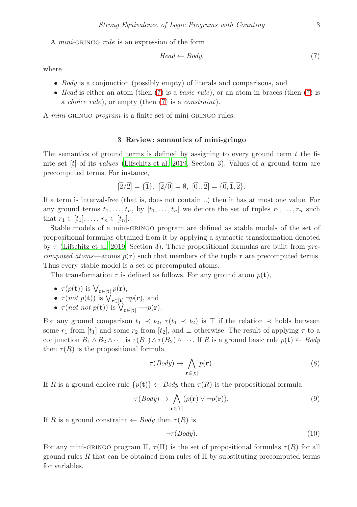A *mini-*gringo *rule* is an expression of the form

<span id="page-2-1"></span>
$$
Head \leftarrow Body,\tag{7}
$$

where

- *Body* is a conjunction (possibly empty) of literals and comparisons, and
- *Head* is either an atom (then [\(7\)](#page-2-1) is a *basic rule*), or an atom in braces (then [\(7\)](#page-2-1) is a *choice rule*), or empty (then [\(7\)](#page-2-1) is a *constraint*).

<span id="page-2-0"></span>A *mini-*gringo *program* is a finite set of mini-gringo rules.

# 3 Review: semantics of mini-gringo

The semantics of ground terms is defined by assigning to every ground term  $t$  the finite set [t] of its *values* [\(Lifschitz et al. 2019,](#page-15-6) Section 3). Values of a ground term are precomputed terms. For instance,

$$
[\overline{2}/\overline{2}] = {\overline{1}}, \ [\overline{2}/\overline{0}] = \emptyset, \ [\overline{0}..\overline{2}] = {\overline{0},\overline{1},\overline{2}}.
$$

If a term is interval-free (that is, does not contain ..) then it has at most one value. For any ground terms  $t_1, \ldots, t_n$ , by  $[t_1, \ldots, t_n]$  we denote the set of tuples  $r_1, \ldots, r_n$  such that  $r_1 \in [t_1], \ldots, r_n \in [t_n]$ .

Stable models of a mini-gringo program are defined as stable models of the set of propositional formulas obtained from it by applying a syntactic transformation denoted by τ [\(Lifschitz et al. 2019,](#page-15-6) Section 3). These propositional formulas are built from *precomputed atoms*—atoms  $p(\mathbf{r})$  such that members of the tuple **r** are precomputed terms. Thus every stable model is a set of precomputed atoms.

The transformation  $\tau$  is defined as follows. For any ground atom  $p(\mathbf{t}),$ 

- $\tau(p(\mathbf{t}))$  is  $\bigvee_{\mathbf{r}\in[\mathbf{t}]}p(\mathbf{r}),$
- $\tau(not p(\mathbf{t}))$  is  $\bigvee_{\mathbf{r}\in[\mathbf{t}]} \neg p(\mathbf{r})$ , and
- $\tau(not not p(\mathbf{t}))$  is  $\bigvee_{\mathbf{r}\in[\mathbf{t}]} \neg \neg p(\mathbf{r}).$

For any ground comparison  $t_1 \prec t_2$ ,  $\tau(t_1 \prec t_2)$  is ⊤ if the relation  $\prec$  holds between some  $r_1$  from  $[t_1]$  and some  $r_2$  from  $[t_2]$ , and  $\perp$  otherwise. The result of applying  $\tau$  to a conjunction  $B_1 \wedge B_2 \wedge \cdots$  is  $\tau(B_1) \wedge \tau(B_2) \wedge \cdots$ . If R is a ground basic rule  $p(\mathbf{t}) \leftarrow Body$ then  $\tau(R)$  is the propositional formula

$$
\tau(Body) \to \bigwedge_{\mathbf{r} \in [\mathbf{t}]} p(\mathbf{r}).\tag{8}
$$

If R is a ground choice rule  $\{p(\mathbf{t})\}\leftarrow Body$  then  $\tau(R)$  is the propositional formula

$$
\tau(Body) \to \bigwedge_{\mathbf{r} \in [\mathbf{t}]} (p(\mathbf{r}) \vee \neg p(\mathbf{r})). \tag{9}
$$

If R is a ground constraint  $\leftarrow$  *Body* then  $\tau(R)$  is

$$
\neg \tau(Body). \tag{10}
$$

For any mini-GRINGO program  $\Pi$ ,  $\tau(\Pi)$  is the set of propositional formulas  $\tau(R)$  for all ground rules R that can be obtained from rules of  $\Pi$  by substituting precomputed terms for variables.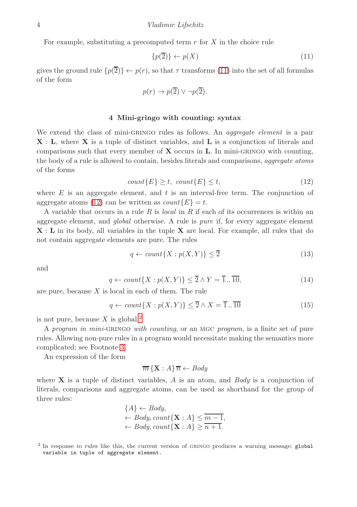For example, substituting a precomputed term  $r$  for  $X$  in the choice rule

<span id="page-3-1"></span>
$$
\{p(\overline{2})\} \leftarrow p(X) \tag{11}
$$

gives the ground rule  $\{p(\overline{2})\} \leftarrow p(r)$ , so that  $\tau$  transforms [\(11\)](#page-3-1) into the set of all formulas of the form

$$
p(r) \to p(\overline{2}) \lor \neg p(\overline{2}).
$$

## 4 Mini-gringo with counting: syntax

<span id="page-3-0"></span>We extend the class of mini-GRINGO rules as follows. An *aggregate element* is a pair X : L, where X is a tuple of distinct variables, and L is a conjunction of literals and comparisons such that every member of  $X$  occurs in  $L$ . In mini-GRINGO with counting, the body of a rule is allowed to contain, besides literals and comparisons, *aggregate atoms* of the forms

<span id="page-3-2"></span>
$$
count\{E\} \ge t, \ count\{E\} \le t,\tag{12}
$$

where  $E$  is an aggregate element, and  $t$  is an interval-free term. The conjunction of aggregate atoms [\(12\)](#page-3-2) can be written as  $count\{E\} = t$ .

A variable that occurs in a rule R is *local* in R if each of its occurrences is within an aggregate element, and *global* otherwise. A rule is *pure* if, for every aggregate element X : L in its body, all variables in the tuple X are local. For example, all rules that do not contain aggregate elements are pure. The rules

<span id="page-3-4"></span>
$$
q \leftarrow count\{X : p(X, Y)\} \le \overline{2}
$$
\n<sup>(13)</sup>

and

<span id="page-3-6"></span>
$$
q \leftarrow count\{X: p(X,Y)\} \le \overline{2} \wedge Y = \overline{1} \dots \overline{10},
$$
\n(14)

are pure, because  $X$  is local in each of them. The rule

<span id="page-3-5"></span>
$$
q \leftarrow count\{X: p(X,Y)\} \le \overline{2} \wedge X = \overline{1} \dots \overline{10}
$$
 (15)

is not pure, because X is global.<sup>[2](#page-3-3)</sup>

A *program in mini-*gringo *with counting*, or an mgc *program*, is a finite set of pure rules. Allowing non-pure rules in a program would necessitate making the semantics more complicated; see Footnote [3.](#page-4-1)

An expression of the form

$$
\overline{m}\left\{ \mathbf{X}:A\right\} \overline{n}\leftarrow Body
$$

where X is a tuple of distinct variables, A is an atom, and *Body* is a conjunction of literals, comparisons and aggregate atoms, can be used as shorthand for the group of three rules:

$$
{A} \leftarrow Body,\leftarrow Body, count{\mathbf{X}: A} \leq \overline{m-1},\leftarrow Body, count{\mathbf{X}: A} \geq \overline{n+1}.
$$

<span id="page-3-3"></span><sup>&</sup>lt;sup>2</sup> In response to rules like this, the current version of GRINGO produces a warning message: global variable in tuple of aggregate element.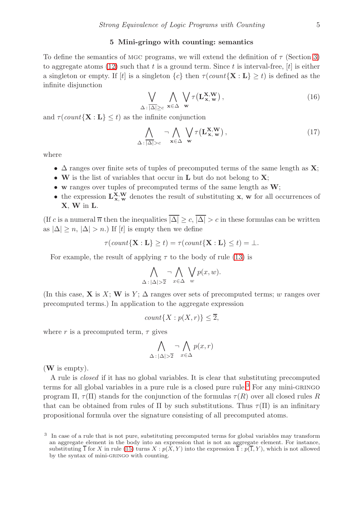#### 5 Mini-gringo with counting: semantics

<span id="page-4-0"></span>To define the semantics of MGC programs, we will extend the definition of  $\tau$  (Section [3\)](#page-2-0) to aggregate atoms [\(12\)](#page-3-2) such that t is a ground term. Since t is interval-free,  $[t]$  is either a singleton or empty. If [t] is a singleton  ${c}$  then  $\tau$ (*count*{**X** : **L**}  $\geq t$ ) is defined as the infinite disjunction

$$
\bigvee_{\Delta : |\Delta| \ge c} \bigwedge_{\mathbf{x} \in \Delta} \bigvee_{\mathbf{w}} \tau(\mathbf{L}_{\mathbf{x}, \mathbf{w}}^{\mathbf{x}, \mathbf{w}}), \tag{16}
$$

and  $\tau$ (*count*{**X** : **L**}  $\leq t$ ) as the infinite conjunction

$$
\bigwedge_{\Delta:\overline{|\Delta|}>c} \neg \bigwedge_{\mathbf{x} \in \Delta} \bigvee_{\mathbf{w}} \tau(\mathbf{L}_{\mathbf{x},\mathbf{w}}^{\mathbf{x},\mathbf{W}}),\tag{17}
$$

where

- $\Delta$  ranges over finite sets of tuples of precomputed terms of the same length as  $\mathbf{X}$ ;
- W is the list of variables that occur in  $L$  but do not belong to  $X$ ;
- w ranges over tuples of precomputed terms of the same length as  $W$ ;
- the expression  $L_{x,w}^{X,W}$  denotes the result of substituting x, w for all occurrences of X, W in L.

(If c is a numeral  $\overline{n}$  then the inequalities  $|\overline{\Delta}| \geq c$ ,  $|\overline{\Delta}| > c$  in these formulas can be written as  $|\Delta| \geq n$ ,  $|\Delta| > n$ .) If  $[t]$  is empty then we define

$$
\tau(\text{count}\{\mathbf{X}:\mathbf{L}\}\geq t) = \tau(\text{count}\{\mathbf{X}:\mathbf{L}\}\leq t) = \bot.
$$

For example, the result of applying  $\tau$  to the body of rule [\(13\)](#page-3-4) is

$$
\bigwedge_{\Delta : |\Delta| > \overline{2}} \neg \bigwedge_{x \in \Delta} \bigvee_{w} p(x, w).
$$

(In this case, **X** is X; W is Y;  $\Delta$  ranges over sets of precomputed terms; w ranges over precomputed terms.) In application to the aggregate expression

$$
count\{X: p(X,r)\} \leq \overline{2},
$$

where r is a precomputed term,  $\tau$  gives

$$
\bigwedge_{\Delta \,:\, |\Delta| > \overline{2}} \neg \bigwedge_{x \in \Delta} p(x, r)
$$

(W is empty).

A rule is *closed* if it has no global variables. It is clear that substituting precomputed terms for all global variables in a pure rule is a closed pure rule.<sup>[3](#page-4-1)</sup> For any mini-GRINGO program Π,  $\tau(\Pi)$  stands for the conjunction of the formulas  $\tau(R)$  over all closed rules R that can be obtained from rules of  $\Pi$  by such substitutions. Thus  $\tau(\Pi)$  is an infinitary propositional formula over the signature consisting of all precomputed atoms.

<span id="page-4-1"></span><sup>3</sup> In case of a rule that is not pure, substituting precomputed terms for global variables may transform an aggregate element in the body into an expression that is not an aggregate element. For instance, substituting  $\overline{1}$  for X in rule [\(15\)](#page-3-5) turns X :  $p(X, Y)$  into the expression  $\overline{1}$  :  $p(\overline{1}, Y)$ , which is not allowed by the syntax of mini-GRINGO with counting.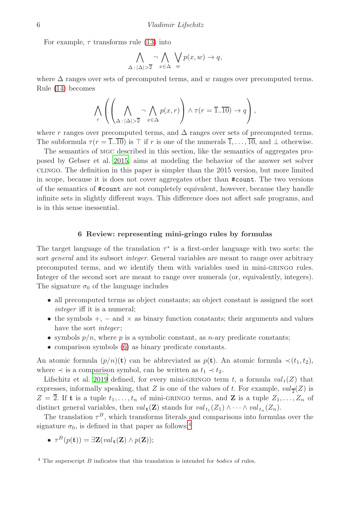For example,  $\tau$  transforms rule [\(13\)](#page-3-4) into

$$
\bigwedge_{\Delta : |\Delta| > \overline{2}} \neg \bigwedge_{x \in \Delta} \bigvee_{w} p(x, w) \to q,
$$

where  $\Delta$  ranges over sets of precomputed terms, and w ranges over precomputed terms. Rule [\(14\)](#page-3-6) becomes

$$
\bigwedge_{r} \left( \left( \bigwedge_{\Delta \,:\, |\Delta| > \overline{2}} \neg \bigwedge_{x \in \Delta} p(x,r) \right) \land \tau(r = \overline{1..10}) \to q \right),
$$

where r ranges over precomputed terms, and  $\Delta$  ranges over sets of precomputed terms. The subformula  $\tau(r = \overline{1..10})$  is ⊤ if r is one of the numerals  $\overline{1}, \ldots, \overline{10}$ , and  $\perp$  otherwise.

The semantics of mgc described in this section, like the semantics of aggregates proposed by Gebser et al. [2015,](#page-15-9) aims at modeling the behavior of the answer set solver clingo. The definition in this paper is simpler than the 2015 version, but more limited in scope, because it is does not cover aggregates other than #count. The two versions of the semantics of #count are not completely equivalent, however, because they handle infinite sets in slightly different ways. This difference does not affect safe programs, and is in this sense inessential.

# 6 Review: representing mini-gringo rules by formulas

<span id="page-5-0"></span>The target language of the translation  $\tau^*$  is a first-order language with two sorts: the sort *general* and its subsort *integer*. General variables are meant to range over arbitrary precomputed terms, and we identify them with variables used in mini-gringo rules. Integer of the second sort are meant to range over numerals (or, equivalently, integers). The signature  $\sigma_0$  of the language includes

- all precomputed terms as object constants; an object constant is assigned the sort *integer* iff it is a numeral;
- the symbols  $+$ ,  $-$  and  $\times$  as binary function constants; their arguments and values have the sort *integer* ;
- symbols  $p/n$ , where p is a symbolic constant, as n-ary predicate constants;
- comparison symbols [\(6\)](#page-1-4) as binary predicate constants.

An atomic formula  $(p/n)(t)$  can be abbreviated as  $p(t)$ . An atomic formula  $\prec (t_1, t_2)$ , where  $\prec$  is a comparison symbol, can be written as  $t_1 \prec t_2$ .

Lifschitz et al. [2019](#page-15-6) defined, for every mini-GRINGO term t, a formula  $val_t(Z)$  that expresses, informally speaking, that Z is one of the values of t. For example,  $val_{\overline{2}}(Z)$  is  $Z = \overline{2}$ . If **t** is a tuple  $t_1, \ldots, t_n$  of mini-GRINGO terms, and **Z** is a tuple  $Z_1, \ldots, Z_n$  of distinct general variables, then  $val_{\mathbf{t}}(\mathbf{Z})$  stands for  $val_{t_1}(Z_1) \wedge \cdots \wedge val_{t_n}(Z_n)$ .

The translation  $\tau^B$ , which transforms literals and comparisons into formulas over the signature  $\sigma_0$ , is defined in that paper as follows:<sup>[4](#page-5-1)</sup>

•  $\tau^B(p(\mathbf{t})) = \exists \mathbf{Z}(val_{\mathbf{t}}(\mathbf{Z}) \wedge p(\mathbf{Z}));$ 

<span id="page-5-1"></span> $4$  The superscript  $B$  indicates that this translation is intended for *bodies* of rules.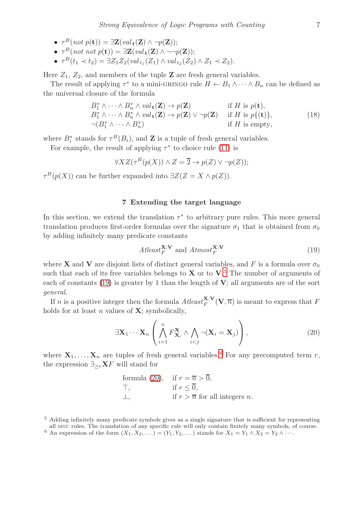- $\tau^B(not \ p(\mathbf{t})) = \exists \mathbf{Z}(val_{\mathbf{t}}(\mathbf{Z}) \wedge \neg p(\mathbf{Z}));$
- $\tau^B(not~not~p(\mathbf{t})) = \exists \mathbf{Z}(val_{\mathbf{t}}(\mathbf{Z}) \wedge \neg \neg p(\mathbf{Z}));$
- $\tau^{B}(t_{1} \prec t_{2}) = \exists Z_{1} Z_{2}(val_{t_{1}}(Z_{1}) \wedge val_{t_{2}}(Z_{2}) \wedge Z_{1} \prec Z_{2}).$

Here  $Z_1$ ,  $Z_2$ , and members of the tuple **Z** are fresh general variables.

The result of applying  $\tau^*$  to a mini-GRINGO rule  $H \leftarrow B_1 \wedge \cdots \wedge B_n$  can be defined as the universal closure of the formula

<span id="page-6-5"></span>
$$
B_1^* \wedge \cdots \wedge B_n^* \wedge val_{\mathbf{t}}(\mathbf{Z}) \to p(\mathbf{Z}) \quad \text{if } H \text{ is } p(\mathbf{t}),
$$
  
\n
$$
B_1^* \wedge \cdots \wedge B_n^* \wedge val_{\mathbf{t}}(\mathbf{Z}) \to p(\mathbf{Z}) \vee \neg p(\mathbf{Z}) \quad \text{if } H \text{ is } p\{(\mathbf{t})\},
$$
  
\n
$$
\neg (B_1^* \wedge \cdots \wedge B_n^*) \quad \text{if } H \text{ is empty},
$$
\n(18)

where  $B_i^*$  stands for  $\tau^B(B_i)$ , and **Z** is a tuple of fresh general variables.

For example, the result of applying  $\tau^*$  to choice rule [\(11\)](#page-3-1) is

$$
\forall X Z(\tau^{B}(p(X)) \land Z = \overline{2} \to p(Z) \lor \neg p(Z));
$$

<span id="page-6-0"></span> $\tau^B(p(X))$  can be further expanded into  $\exists Z(Z=X \wedge p(Z)).$ 

## 7 Extending the target language

In this section, we extend the translation  $\tau^*$  to arbitrary pure rules. This more general translation produces first-order formulas over the signature  $\sigma_1$  that is obtained from  $\sigma_0$ by adding infinitely many predicate constants

<span id="page-6-2"></span>
$$
At least_{F}^{\mathbf{X};\mathbf{V}} \text{ and } At most_{F}^{\mathbf{X};\mathbf{V}} \tag{19}
$$

where **X** and **V** are disjoint lists of distinct general variables, and F is a formula over  $\sigma_0$ such that each of its free variables belongs to  $X$  or to  $V<sup>5</sup>$  $V<sup>5</sup>$  $V<sup>5</sup>$ . The number of arguments of each of constants [\(19\)](#page-6-2) is greater by 1 than the length of  $V$ ; all arguments are of the sort *general*.

If *n* is a positive integer then the formula  $Atleast_F^{\mathbf{X,V}}(\mathbf{V},\overline{n})$  is meant to express that F holds for at least  $n$  values of  $X$ ; symbolically,

<span id="page-6-4"></span>
$$
\exists \mathbf{X}_1 \cdots \mathbf{X}_n \left( \bigwedge_{i=1}^n F_{\mathbf{X}_i}^{\mathbf{X}} \wedge \bigwedge_{i < j} \neg (\mathbf{X}_i = \mathbf{X}_j) \right), \tag{20}
$$

where  $X_1, \ldots, X_n$  are tuples of fresh general variables.<sup>[6](#page-6-3)</sup> For any precomputed term r, the expression  $\exists_{\geq r} \mathbf{X} F$  will stand for

formula (20), if 
$$
r = \overline{n} > \overline{0}
$$
,  
\n $\top$ , if  $r \leq \overline{0}$ ,  
\n $\bot$ , if  $r > \overline{n}$  for all integers n.

<sup>5</sup> Adding infinitely many predicate symbols gives us a single signature that is sufficient for representing all mgc rules. The translation of any specific rule will only contain finitely many symbols, of course.

<span id="page-6-3"></span><span id="page-6-1"></span><sup>6</sup> An expression of the form  $(X_1, X_2, ...)$  =  $(Y_1, Y_2, ...)$  stands for  $X_1 = Y_1 \wedge X_2 = Y_2 \wedge \cdots$ .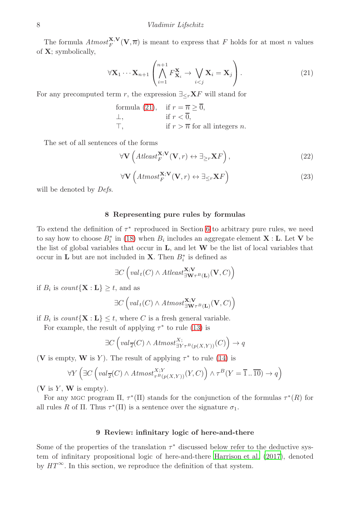The formula  $Atmost_F^{\mathbf{X},\mathbf{V}}(\mathbf{V},\overline{n})$  is meant to express that F holds for at most n values of X; symbolically,

<span id="page-7-2"></span>
$$
\forall \mathbf{X}_1 \cdots \mathbf{X}_{n+1} \left( \bigwedge_{i=1}^{n+1} F_{\mathbf{X}_i}^{\mathbf{X}} \rightarrow \bigvee_{i < j} \mathbf{X}_i = \mathbf{X}_j \right). \tag{21}
$$

For any precomputed term r, the expression  $\exists_{\leq r} \mathbf{X} F$  will stand for

formula (21), if 
$$
r = \overline{n} \ge \overline{0}
$$
,  
\n $\perp$ , if  $r < \overline{0}$ ,  
\n $\top$ , if  $r > \overline{n}$  for all integers *n*.

The set of all sentences of the forms

<span id="page-7-3"></span>
$$
\forall \mathbf{V} \left( At least_{F}^{\mathbf{X};\mathbf{V}}(\mathbf{V},r) \leftrightarrow \exists_{\geq r} \mathbf{X} F \right), \tag{22}
$$

$$
\forall \mathbf{V} \left(Atmost_{F}^{\mathbf{X};\mathbf{V}}(\mathbf{V},r) \leftrightarrow \exists_{\leq r} \mathbf{X} F\right) \tag{23}
$$

<span id="page-7-0"></span>will be denoted by *Defs*.

# 8 Representing pure rules by formulas

To extend the definition of  $\tau^*$  reproduced in Section [6](#page-5-0) to arbitrary pure rules, we need to say how to choose  $B_i^*$  in [\(18\)](#page-6-5) when  $B_i$  includes an aggregate element **X** : **L**. Let **V** be the list of global variables that occur in  $L$ , and let  $W$  be the list of local variables that occur in **L** but are not included in **X**. Then  $B_i^*$  is defined as

$$
\exists C \left( val_t(C) \land Atleast_{\exists \mathbf{W}_{\tau}^B(\mathbf{L})}^{\mathbf{X};\mathbf{V}}(\mathbf{V},C) \right)
$$

if  $B_i$  is  $count\{X: L\} \geq t$ , and as

$$
\exists C \left( val_t(C) \land Atmost^{\mathbf{X};\mathbf{V}}_{\exists \mathbf{W} \tau^B(\mathbf{L})}(\mathbf{V},C) \right)
$$

if  $B_i$  is  $count\{X : L\} \leq t$ , where C is a fresh general variable.

For example, the result of applying  $\tau^*$  to rule [\(13\)](#page-3-4) is

$$
\exists C \left( val_{\overline{2}}(C) \land Atmost_{\exists Y\tau^B(p(X,Y))}^{X;}(C) \right) \rightarrow q
$$

(V is empty, W is Y). The result of applying  $\tau^*$  to rule [\(14\)](#page-3-6) is

$$
\forall Y \left(\exists C \left( val_{\overline{2}}(C) \land Atmost_{\tau^B(p(X,Y))}^{X;Y}(Y,C) \right) \land \tau^B(Y=\overline{1}..\overline{10}) \to q \right)
$$

 $(V \t{is } Y, W \t{is empty}).$ 

For any MGC program  $\Pi$ ,  $\tau^*(\Pi)$  stands for the conjunction of the formulas  $\tau^*(R)$  for all rules R of  $\Pi$ . Thus  $\tau^*(\Pi)$  is a sentence over the signature  $\sigma_1$ .

# 9 Review: infinitary logic of here-and-there

<span id="page-7-1"></span>Some of the properties of the translation  $\tau^*$  discussed below refer to the deductive system of infinitary propositional logic of here-and-there [Harrison et](#page-15-11) al. [\(2017\)](#page-15-11), denoted by  $HT^{\infty}$ . In this section, we reproduce the definition of that system.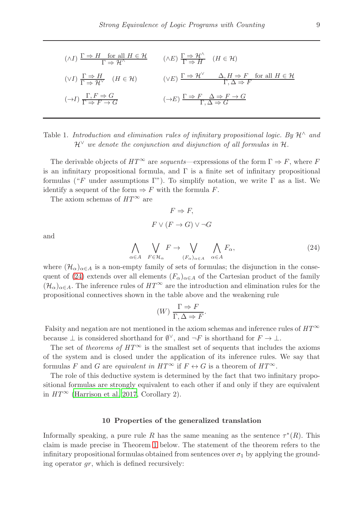$$
(\wedge I) \frac{\Gamma \Rightarrow H \quad \text{for all } H \in \mathcal{H}}{\Gamma \Rightarrow \mathcal{H}^{\wedge}} \qquad (\wedge E) \frac{\Gamma \Rightarrow \mathcal{H}^{\wedge}}{\Gamma \Rightarrow H} \quad (H \in \mathcal{H})
$$
  

$$
(\vee I) \frac{\Gamma \Rightarrow H}{\Gamma \Rightarrow \mathcal{H}^{\vee}} \quad (H \in \mathcal{H}) \qquad (\vee E) \frac{\Gamma \Rightarrow \mathcal{H}^{\vee}}{\Gamma \Rightarrow \mathcal{H}^{\vee}} \qquad \frac{\Delta, H \Rightarrow F \quad \text{for all } H \in \mathcal{H}}{\Gamma, \Delta \Rightarrow F}
$$
  

$$
(\rightarrow I) \frac{\Gamma, F \Rightarrow G}{\Gamma \Rightarrow F \rightarrow G} \qquad (\rightarrow E) \frac{\Gamma \Rightarrow F \quad \Delta \Rightarrow F \rightarrow G}{\Gamma, \Delta \Rightarrow G}
$$

Table 1. Introduction and elimination rules of infinity propositional logic. By 
$$
\mathcal{H}^{\wedge}
$$
 and  $\mathcal{H}^{\vee}$  we denote the conjunction and disjunction of all formulas in  $\mathcal{H}$ .

The derivable objects of  $HT^{\infty}$  are *sequents*—expressions of the form  $\Gamma \Rightarrow F$ , where F is an infinitary propositional formula, and  $\Gamma$  is a finite set of infinitary propositional formulas ("F under assumptions Γ"). To simplify notation, we write  $\Gamma$  as a list. We identify a sequent of the form  $\Rightarrow$  F with the formula F.

The axiom schemas of  $HT^{\infty}$  are

$$
F \Rightarrow F,
$$
  

$$
F \vee (F \to G) \vee \neg G
$$

and

<span id="page-8-1"></span>
$$
\bigwedge_{\alpha \in A} \bigvee_{F \in \mathcal{H}_{\alpha}} F \to \bigvee_{(F_{\alpha})_{\alpha \in A}} \bigwedge_{\alpha \in A} F_{\alpha}, \tag{24}
$$

where  $(\mathcal{H}_\alpha)_{\alpha\in A}$  is a non-empty family of sets of formulas; the disjunction in the conse-quent of [\(24\)](#page-8-1) extends over all elements  $(F_{\alpha})_{\alpha \in A}$  of the Cartesian product of the family  $(\mathcal{H}_{\alpha})_{\alpha\in A}$ . The inference rules of  $HT^{\infty}$  are the introduction and elimination rules for the propositional connectives shown in the table above and the weakening rule

$$
(W) \frac{\Gamma \Rightarrow F}{\Gamma, \Delta \Rightarrow F}.
$$

Falsity and negation are not mentioned in the axiom schemas and inference rules of *HT*<sup>∞</sup> because  $\perp$  is considered shorthand for  $\emptyset^{\vee}$ , and  $\neg F$  is shorthand for  $F \to \perp$ .

The set of *theorems of*  $HT^{\infty}$  is the smallest set of sequents that includes the axioms of the system and is closed under the application of its inference rules. We say that formulas F and G are *equivalent in*  $HT^{\infty}$  if  $F \leftrightarrow G$  is a theorem of  $HT^{\infty}$ .

The role of this deductive system is determined by the fact that two infinitary propositional formulas are strongly equivalent to each other if and only if they are equivalent in  $HT^{\infty}$  [\(Harrison et al. 2017](#page-15-11), Corollary 2).

#### 10 Properties of the generalized translation

<span id="page-8-0"></span>Informally speaking, a pure rule R has the same meaning as the sentence  $\tau^*(R)$ . This claim is made precise in Theorem [1](#page-9-0) below. The statement of the theorem refers to the infinitary propositional formulas obtained from sentences over  $\sigma_1$  by applying the grounding operator gr, which is defined recursively: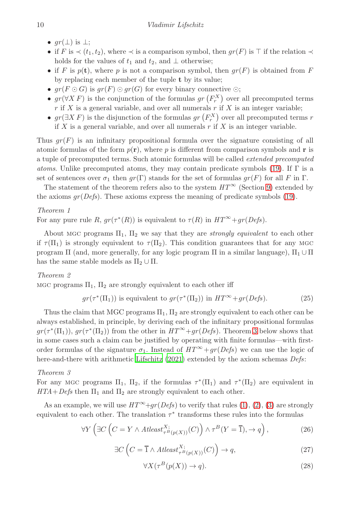- $gr(\perp)$  is  $\perp$ ;
- if F is  $\prec$   $(t_1, t_2)$ , where  $\prec$  is a comparison symbol, then  $qr(F)$  is  $\top$  if the relation  $\prec$ holds for the values of  $t_1$  and  $t_2$ , and  $\perp$  otherwise;
- if F is  $p(\mathbf{t})$ , where p is not a comparison symbol, then  $qr(F)$  is obtained from F by replacing each member of the tuple t by its value;
- $gr(F \odot G)$  is  $gr(F) \odot gr(G)$  for every binary connective  $\odot$ ;
- $gr(\forall X F)$  is the conjunction of the formulas  $gr(F_r^X)$  over all precomputed terms  $r$  if X is a general variable, and over all numerals  $r$  if X is an integer variable;
- $gr(\exists X F)$  is the disjunction of the formulas  $gr(F_r^X)$  over all precomputed terms r if  $X$  is a general variable, and over all numerals  $r$  if  $X$  is an integer variable.

Thus  $qr(F)$  is an infinitary propositional formula over the signature consisting of all atomic formulas of the form  $p(\mathbf{r})$ , where p is different from comparison symbols and r is a tuple of precomputed terms. Such atomic formulas will be called *extended precomputed atoms*. Unlike precomputed atoms, they may contain predicate symbols [\(19\)](#page-6-2). If Γ is a set of sentences over  $\sigma_1$  then  $gr(\Gamma)$  stands for the set of formulas  $gr(F)$  for all F in  $\Gamma$ .

<span id="page-9-0"></span>The statement of the theorem refers also to the system  $HT^{\infty}$  (Section [9\)](#page-7-1) extended by the axioms  $gr(Defs)$ . These axioms express the meaning of predicate symbols [\(19\)](#page-6-2).

# *Theorem 1*

For any pure rule R,  $gr(\tau^*(R))$  is equivalent to  $\tau(R)$  in  $HT^{\infty}+gr(Defs)$ .

About MGC programs  $\Pi_1$ ,  $\Pi_2$  we say that they are *strongly equivalent* to each other if  $\tau(\Pi_1)$  is strongly equivalent to  $\tau(\Pi_2)$ . This condition guarantees that for any MGC program Π (and, more generally, for any logic program Π in a similar language),  $\Pi_1 \cup \Pi$ has the same stable models as  $\Pi_2 \cup \Pi$ .

## <span id="page-9-4"></span>*Theorem 2*

MGC programs  $\Pi_1$ ,  $\Pi_2$  are strongly equivalent to each other iff

<span id="page-9-5"></span>
$$
gr(\tau^*(\Pi_1))
$$
 is equivalent to  $gr(\tau^*(\Pi_2))$  in  $HT^{\infty} + gr(Defs)$ . (25)

Thus the claim that MGC programs  $\Pi_1$ ,  $\Pi_2$  are strongly equivalent to each other can be always established, in principle, by deriving each of the infinitary propositional formulas  $gr(\tau^*(\Pi_1)), gr(\tau^*(\Pi_2))$  from the other in  $HT^{\infty}+gr(Defs)$ . Theorem [3](#page-9-1) below shows that in some cases such a claim can be justified by operating with finite formulas—with firstorder formulas of the signature  $\sigma_1$ . Instead of  $HT^{\infty} + gr(Defs)$  we can use the logic of here-and-there with arithmetic [Lifschitz \(2021\)](#page-15-7) extended by the axiom schemas *Defs*:

## <span id="page-9-1"></span>*Theorem 3*

For any MGC programs  $\Pi_1$ ,  $\Pi_2$ , if the formulas  $\tau^*(\Pi_1)$  and  $\tau^*(\Pi_2)$  are equivalent in  $HTA+Defs$  then  $\Pi_1$  and  $\Pi_2$  are strongly equivalent to each other.

As an example, we will use  $HT^{\infty}+qr(Defs)$  to verify that rules [\(1\)](#page-0-1), [\(2\)](#page-0-0), [\(3\)](#page-1-0) are strongly equivalent to each other. The translation  $\tau^*$  transforms these rules into the formulas

$$
\forall Y \left( \exists C \left( C = Y \land \text{Atleast}_{\tau^B(p(X))}^{X;}(C) \right) \land \tau^B(Y = \overline{1}), \to q \right),\tag{26}
$$

<span id="page-9-2"></span>
$$
\exists C \left( C = \overline{1} \land \text{Atleast}_{\tau^B(p(X))}^{X;}(C) \right) \to q,\tag{27}
$$

<span id="page-9-3"></span>
$$
\forall X(\tau^B(p(X)) \to q). \tag{28}
$$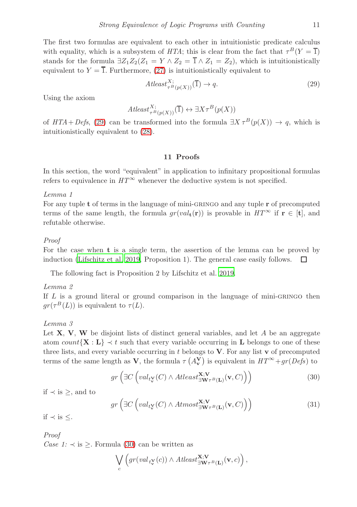The first two formulas are equivalent to each other in intuitionistic predicate calculus with equality, which is a subsystem of *HTA*; this is clear from the fact that  $\tau^B(Y = \overline{1})$ stands for the formula  $\exists Z_1Z_2(Z_1 = Y \wedge Z_2 = \overline{1} \wedge Z_1 = Z_2)$ , which is intuitionistically equivalent to  $Y = \overline{1}$ . Furthermore, [\(27\)](#page-9-2) is intuitionistically equivalent to

<span id="page-10-1"></span>
$$
At least_{\tau^B(p(X))}^{X;}(\overline{1}) \to q. \tag{29}
$$

Using the axiom

$$
At least_{\tau^B(p(X))}^{X;}(\overline{1}) \leftrightarrow \exists X \tau^B(p(X))
$$

of  $HTA+Defs$ , [\(29\)](#page-10-1) can be transformed into the formula  $\exists X \tau^B(p(X)) \rightarrow q$ , which is intuitionistically equivalent to [\(28\)](#page-9-3).

### 11 Proofs

<span id="page-10-3"></span><span id="page-10-0"></span>In this section, the word "equivalent" in application to infinitary propositional formulas refers to equivalence in  $HT^{\infty}$  whenever the deductive system is not specified.

*Lemma 1*

For any tuple  $t$  of terms in the language of mini-GRINGO and any tuple  $r$  of precomputed terms of the same length, the formula  $gr(val_{\mathbf{t}}(\mathbf{r}))$  is provable in  $HT^{\infty}$  if  $\mathbf{r} \in [\mathbf{t}]$ , and refutable otherwise.

## *Proof*

For the case when t is a single term, the assertion of the lemma can be proved by induction [\(Lifschitz et al. 2019](#page-15-6), Proposition 1). The general case easily follows.  $\Box$ 

<span id="page-10-4"></span>The following fact is Proposition 2 by Lifschitz et al. [2019](#page-15-6).

# *Lemma 2*

If  $L$  is a ground literal or ground comparison in the language of mini-GRINGO then  $gr(\tau^B(L))$  is equivalent to  $\tau(L)$ .

### <span id="page-10-6"></span>*Lemma 3*

Let  $X, V, W$  be disjoint lists of distinct general variables, and let A be an aggregate atom count $\{X : L\} \prec t$  such that every variable occurring in L belongs to one of these three lists, and every variable occurring in  $t$  belongs to  $V$ . For any list  $\bf{v}$  of precomputed terms of the same length as **V**, the formula  $\tau(A_v^{\mathbf{V}})$  is equivalent in  $HT^{\infty} + gr(Defs)$  to

<span id="page-10-2"></span>
$$
gr\left(\exists C\left( val_{t_{\mathbf{v}}^{\mathbf{V}}}(C) \land Altleast_{\exists \mathbf{W}\tau^{B}(\mathbf{L})}^{\mathbf{X};\mathbf{V}}(\mathbf{v},C)\right)\right) \tag{30}
$$

if ≺ is ≥, and to

<span id="page-10-5"></span>
$$
gr\left(\exists C\left( val_{t_{\mathbf{v}}^{\mathbf{V}}}(C) \land Atmost_{\exists \mathbf{W}\tau^{B}(\mathbf{L})}^{\mathbf{X};\mathbf{V}}(\mathbf{v},C)\right)\right) \tag{31}
$$

if ≺ is ≤.

*Proof Case 1:*  $\prec$  is  $\geq$ . Formula [\(30\)](#page-10-2) can be written as

$$
\bigvee_c \left( \text{gr}(val_{t^{\mathbf{V}}_{\mathbf{V}}}(c)) \wedge \text{Atleast}^{\mathbf{X};\mathbf{V}}_{\exists \mathbf{W} \tau^B(\mathbf{L})}(\mathbf{v},c) \right),
$$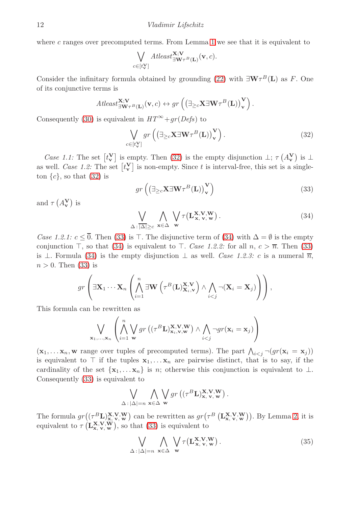where  $c$  ranges over precomputed terms. From Lemma [1](#page-10-3) we see that it is equivalent to

$$
\bigvee_{c \in [t_{\bf v}^{\bf V}]} \text{Atleast}_{\exists {\bf W}^{\tau_B}({\bf L})}^{{\bf X}; {\bf V}}({\bf v}, c).
$$

Consider the infinitary formula obtained by grounding [\(22\)](#page-7-3) with  $\exists \mathbf{W} \tau^{B}(\mathbf{L})$  as F. One of its conjunctive terms is

$$
At least_{\exists \mathbf{W}_{\tau} B(\mathbf{L})}^{\mathbf{X};\mathbf{V}}(\mathbf{v},c) \leftrightarrow gr\left(\left(\exists_{\geq c} \mathbf{X} \exists \mathbf{W}_{\tau} B(\mathbf{L})\right)_{\mathbf{V}}^{\mathbf{V}}\right).
$$

Consequently [\(30\)](#page-10-2) is equivalent in  $HT^{\infty} + qr(Defs)$  to

<span id="page-11-0"></span>
$$
\bigvee_{c \in [t_v^{\mathbf{V}}]} gr\left(\left(\exists_{\geq c} \mathbf{X} \exists \mathbf{W} \tau^{B}(\mathbf{L})\right)_{\mathbf{V}}^{\mathbf{V}}\right).
$$
\n(32)

*Case 1.1:* The set  $[t_v]$  is empty. Then [\(32\)](#page-11-0) is the empty disjunction  $\perp$ ;  $\tau(A_v^V)$  is  $\perp$ as well. *Case 1.2:* The set  $[t_v^{\mathbf{V}}]$  is non-empty. Since t is interval-free, this set is a singleton  $\{c\}$ , so that  $(32)$  is

<span id="page-11-1"></span>
$$
gr\left(\left(\exists_{\geq c}\mathbf{X}\exists\mathbf{W}\tau^{B}(\mathbf{L})\right)^{\mathbf{V}}_{\mathbf{v}}\right)
$$
\n(33)

and  $\tau(A_{\mathbf{v}}^{\mathbf{V}})$  is

<span id="page-11-2"></span>
$$
\bigvee_{\Delta : |\Delta| \ge c} \bigwedge_{\mathbf{x} \in \Delta} \bigvee_{\mathbf{w}} \tau(\mathbf{L}_{\mathbf{x}, \mathbf{v}, \mathbf{w}}^{\mathbf{x}, \mathbf{V}, \mathbf{W}}).
$$
 (34)

*Case 1.2.1:*  $c \leq 0$ . Then [\(33\)](#page-11-1) is  $\top$ . The disjunctive term of [\(34\)](#page-11-2) with  $\Delta = \emptyset$  is the empty conjunction ⊤, so that [\(34\)](#page-11-2) is equivalent to ⊤. *Case 1.2.2:* for all  $n, c > \overline{n}$ . Then [\(33\)](#page-11-1) is ⊥. Formula [\(34\)](#page-11-2) is the empty disjunction  $\bot$  as well. *Case 1.2.3:* c is a numeral  $\overline{n}$ ,  $n > 0$ . Then [\(33\)](#page-11-1) is

$$
gr\left(\exists \mathbf{X}_1 \cdots \mathbf{X}_n \left( \bigwedge_{i=1}^n \exists \mathbf{W} \left( \tau^B(\mathbf{L})_{\mathbf{X}_i, \mathbf{v}}^{\mathbf{X}, \mathbf{V}} \right) \wedge \bigwedge_{i < j} \neg (\mathbf{X}_i = \mathbf{X}_j) \right) \right),
$$

This formula can be rewritten as

$$
\bigvee_{\mathbf{x}_1,\dots,\mathbf{x}_n} \left( \bigwedge_{i=1}^n \bigvee_{\mathbf{w}} gr\left( (\tau^B \mathbf{L})_{\mathbf{x}_i,\mathbf{v},\mathbf{w}}^{\mathbf{x},\mathbf{V},\mathbf{W}} \right) \wedge \bigwedge_{i
$$

 $(\mathbf{x}_1, \dots \mathbf{x}_n, \mathbf{w})$  range over tuples of precomputed terms). The part  $\bigwedge_{i < j} \neg (gr(\mathbf{x}_i = \mathbf{x}_j))$ is equivalent to ⊤ if the tuples  $x_1, \ldots, x_n$  are pairwise distinct, that is to say, if the cardinality of the set  $\{x_1, \ldots, x_n\}$  is n; otherwise this conjunction is equivalent to  $\perp$ . Consequently [\(33\)](#page-11-1) is equivalent to

$$
\bigvee_{\Delta : |\Delta| = n} \bigwedge_{\mathbf{x} \in \Delta} \bigvee_{\mathbf{w}} gr\left((\tau^B \mathbf{L})_{\mathbf{x}, \mathbf{v}, \mathbf{w}}^{\mathbf{x}, \mathbf{v}, \mathbf{w}}\right).
$$

The formula  $gr((\tau^B {\bf L})_{{\bf x},V{\bf v},W}^{\bf X,V,W})$  can be rewritten as  $gr(\tau^B({\bf L}_{{\bf x},V{\bf v},W}^{\bf X,V,W})).$  By Lemma [2,](#page-10-4) it is equivalent to  $\tau(\mathbf{L}_{\mathbf{x},\mathbf{v},\mathbf{w}}^{\mathbf{x},\mathbf{V},\mathbf{W}})$ , so that [\(33\)](#page-11-1) is equivalent to

<span id="page-11-3"></span>
$$
\bigvee_{\Delta : |\Delta| = n} \bigwedge_{\mathbf{x} \in \Delta} \bigvee_{\mathbf{w}} \tau(\mathbf{L}_{\mathbf{x}, \mathbf{v}, \mathbf{w}}^{\mathbf{x}, \mathbf{v}, \mathbf{w}}).
$$
 (35)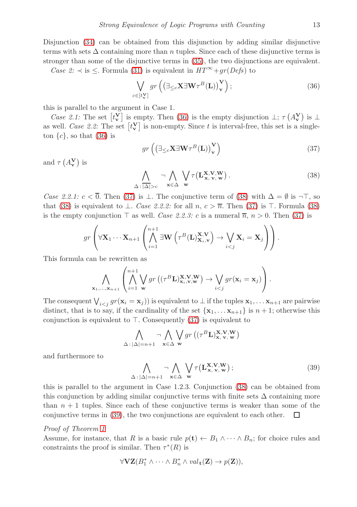Disjunction [\(34\)](#page-11-2) can be obtained from this disjunction by adding similar disjunctive terms with sets  $\Delta$  containing more than n tuples. Since each of these disjunctive terms is stronger than some of the disjunctive terms in [\(35\)](#page-11-3), the two disjunctions are equivalent.

*Case 2:*  $\prec$  is  $\leq$ . Formula [\(31\)](#page-10-5) is equivalent in  $HT^{\infty} + gr(Defs)$  to

<span id="page-12-0"></span>
$$
\bigvee_{c \in [t_v^{\mathbf{V}}]} gr \left( \left( \exists_{\leq c} \mathbf{X} \exists \mathbf{W} \tau^B(\mathbf{L}) \right)_v^{\mathbf{V}} \right); \tag{36}
$$

this is parallel to the argument in Case 1.

*Case 2.1:* The set  $[t_v]$  is empty. Then [\(36\)](#page-12-0) is the empty disjunction  $\perp$ ;  $\tau(A_v^V)$  is  $\perp$ as well. *Case 2.2:* The set  $[t_v^{\mathbf{V}}]$  is non-empty. Since t is interval-free, this set is a singleton  $\{c\}$ , so that [\(36\)](#page-12-0) is

<span id="page-12-1"></span>
$$
gr\left(\left(\exists_{\leq c}\mathbf{X}\exists\mathbf{W}\tau^{B}(\mathbf{L})\right)^{\mathbf{V}}_{\mathbf{v}}\right)
$$
\n(37)

and  $\tau(A_v^V)$  is

<span id="page-12-2"></span>
$$
\bigwedge_{\Delta : |\Delta| > c} \neg \bigwedge_{\mathbf{x} \in \Delta} \bigvee_{\mathbf{w}} \tau(\mathbf{L}_{\mathbf{x},\mathbf{v},\mathbf{w}}^{\mathbf{x},\mathbf{V},\mathbf{w}}).
$$
\n(38)

*Case 2.2.1:*  $c < \overline{0}$ . Then [\(37\)](#page-12-1) is  $\bot$ . The conjunctive term of [\(38\)](#page-12-2) with  $\Delta = \emptyset$  is  $\neg \top$ , so that [\(38\)](#page-12-2) is equivalent to  $\perp$ . *Case 2.2.2:* for all n,  $c > \overline{n}$ . Then [\(37\)](#page-12-1) is ⊤. Formula (38) is the empty conjunction  $\top$  as well. *Case 2.2.3:* c is a numeral  $\overline{n}$ ,  $n > 0$ . Then [\(37\)](#page-12-1) is

$$
gr\left(\forall \mathbf{X}_1 \cdots \mathbf{X}_{n+1} \left( \bigwedge_{i=1}^{n+1} \exists \mathbf{W} \left( \tau^B(\mathbf{L})_{\mathbf{X}_i, \mathbf{v}}^{\mathbf{X}, \mathbf{V}} \right) \rightarrow \bigvee_{i < j} \mathbf{X}_i = \mathbf{X}_j \right) \right).
$$

This formula can be rewritten as

$$
\bigwedge_{\mathbf{x}_1,\ldots,\mathbf{x}_{n+1}} \left( \bigwedge_{i=1}^{n+1} \bigvee_{\mathbf{w}} gr\left((\tau^B \mathbf{L})_{\mathbf{x}_i,\mathbf{v},\mathbf{w}}^{\mathbf{x},\mathbf{V},\mathbf{W}}\right) \to \bigvee_{i
$$

The consequent  $\bigvee_{i \leq j} gr(\mathbf{x}_i = \mathbf{x}_j)$  is equivalent to  $\perp$  if the tuples  $\mathbf{x}_1, \dots \mathbf{x}_{n+1}$  are pairwise distinct, that is to say, if the cardinality of the set  $\{x_1, \ldots x_{n+1}\}$  is  $n+1$ ; otherwise this conjunction is equivalent to ⊤. Consequently [\(37\)](#page-12-1) is equivalent to

$$
\bigwedge_{\Delta \,:\, |\Delta| = n+1} \neg \bigwedge_{\mathbf{x} \in \Delta} \bigvee_{\mathbf{w}} gr\left((\tau^B \mathbf{L})_{\mathbf{x},\mathbf{v},\mathbf{w}}^{\mathbf{x},\mathbf{V},\mathbf{W}}\right)
$$

and furthermore to

<span id="page-12-3"></span>
$$
\bigwedge_{\Delta:|\Delta|=n+1} \neg \bigwedge_{\mathbf{x} \in \Delta} \bigvee_{\mathbf{w}} \tau(\mathbf{L}_{\mathbf{x},\mathbf{v},\mathbf{w}}^{\mathbf{x},\mathbf{V},\mathbf{W}});
$$
\n(39)

this is parallel to the argument in Case 1.2.3. Conjunction [\(38\)](#page-12-2) can be obtained from this conjunction by adding similar conjunctive terms with finite sets  $\Delta$  containing more than  $n + 1$  tuples. Since each of these conjunctive terms is weaker than some of the conjunctive terms in [\(39\)](#page-12-3), the two conjunctions are equivalent to each other.  $\Box$ 

## *Proof of Theorem [1](#page-9-0)*

Assume, for instance, that R is a basic rule  $p(t) \leftarrow B_1 \wedge \cdots \wedge B_n$ ; for choice rules and constraints the proof is similar. Then  $\tau^*(R)$  is

$$
\forall \mathbf{VZ}(B_1^* \wedge \cdots \wedge B_n^* \wedge val_{\mathbf{t}}(\mathbf{Z}) \rightarrow p(\mathbf{Z})),
$$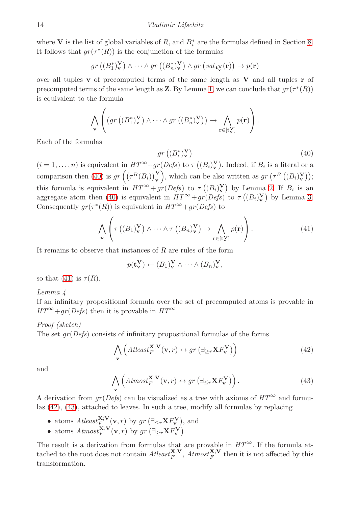where **V** is the list of global variables of R, and  $B_i^*$  are the formulas defined in Section [8.](#page-7-0) It follows that  $gr(\tau^*(R))$  is the conjunction of the formulas

$$
gr\left((B_1^*\right)\bigvee_{\mathbf{v}}\mathbf{v}\right)\wedge\cdots\wedge gr\left((B_n^*\right)\bigvee_{\mathbf{v}}\mathbf{v}\right) \wedge gr\left(val_{\mathbf{t}\mathbf{v}}(\mathbf{r})\right)\to p(\mathbf{r})
$$

over all tuples  $\bf{v}$  of precomputed terms of the same length as  $\bf{V}$  and all tuples  $\bf{r}$  of precomputed terms of the same length as **Z**. By Lemma [1,](#page-10-3) we can conclude that  $gr(\tau^*(R))$ is equivalent to the formula

$$
\bigwedge_{\mathbf{v}} \left( \left( gr\left( (B_1^*)^{\mathbf{V}}_{\mathbf{v}} \right) \wedge \cdots \wedge gr\left( (B_n^*)^{\mathbf{V}}_{\mathbf{v}} \right) \right) \rightarrow \bigwedge_{\mathbf{r} \in [\mathbf{t}^{\mathbf{V}}] } p(\mathbf{r}) \right).
$$

Each of the formulas

<span id="page-13-0"></span>
$$
gr\left(\left(B_i^*\right)_\mathbf{v}^\mathbf{V}\right) \tag{40}
$$

 $(i = 1, \ldots, n)$  is equivalent in  $HT^{\infty} + gr(Defs)$  to  $\tau((B_i)_{\mathbf{v}}^{\mathbf{V}})$ . Indeed, if  $B_i$  is a literal or a comparison then [\(40\)](#page-13-0) is  $gr \left( \left( \tau^{B}(B_{i}) \right)_{\mathbf{v}}^{\mathbf{V}} \right)$ , which can be also written as  $gr \left( \tau^{B} \left( (B_{i})_{\mathbf{v}}^{\mathbf{V}} \right) \right)$ ; this formula is equivalent in  $HT^{\infty} + gr(Defs)$  to  $\tau((B_i)^{\mathbf{V}}_{\mathbf{v}})$  by Lemma [2.](#page-10-4) If  $B_i$  is an aggregate atom then [\(40\)](#page-13-0) is equivalent in  $HT^{\infty} + gr(Defs)$  to  $\tau((B_i)_{\mathbf{v}}^{\mathbf{V}})$  by Lemma [3.](#page-10-6) Consequently  $gr(\tau^*(R))$  is equivalent in  $HT^{\infty}+gr(Defs)$  to

<span id="page-13-1"></span>
$$
\bigwedge_{\mathbf{v}} \left( \tau \left( (B_1)^{\mathbf{V}}_{\mathbf{v}} \right) \wedge \cdots \wedge \tau \left( (B_n)^{\mathbf{V}}_{\mathbf{v}} \right) \to \bigwedge_{\mathbf{r} \in [\mathbf{t}^{\mathbf{V}}_{\mathbf{v}}]} p(\mathbf{r}) \right).
$$
\n(41)

It remains to observe that instances of  $R$  are rules of the form

$$
p(\mathbf{t}_{\mathbf{v}}^{\mathbf{V}}) \leftarrow (B_1)_{\mathbf{v}}^{\mathbf{V}} \wedge \cdots \wedge (B_n)_{\mathbf{v}}^{\mathbf{V}},
$$

<span id="page-13-4"></span>so that [\(41\)](#page-13-1) is  $\tau(R)$ .

## *Lemma 4*

If an infinitary propositional formula over the set of precomputed atoms is provable in  $HT^{\infty}+gr(Defs)$  then it is provable in  $HT^{\infty}$ .

# *Proof (sketch)*

The set gr(*Defs*) consists of infinitary propositional formulas of the forms

<span id="page-13-2"></span>
$$
\bigwedge_{\mathbf{v}} \left( \text{Atleast}_{F}^{\mathbf{X};\mathbf{V}}(\mathbf{v},r) \leftrightarrow \text{gr}\left(\exists_{\geq r} \mathbf{X} F_{\mathbf{v}}^{\mathbf{V}}\right) \right) \tag{42}
$$

and

<span id="page-13-3"></span>
$$
\bigwedge_{\mathbf{v}} \left(Atmost_{F}^{\mathbf{X};\mathbf{V}}(\mathbf{v},r) \leftrightarrow gr\left(\exists_{\leq r} \mathbf{X} F_{\mathbf{v}}^{\mathbf{V}}\right)\right). \tag{43}
$$

A derivation from  $gr(Defs)$  can be visualized as a tree with axioms of  $HT^{\infty}$  and formulas [\(42\)](#page-13-2), [\(43\)](#page-13-3), attached to leaves. In such a tree, modify all formulas by replacing

- atoms  $Atleast_{F}^{\mathbf{X};\mathbf{V}}(\mathbf{v},r)$  by  $gr(\exists_{\leq r}\mathbf{X}F_{\mathbf{v}}^{\mathbf{V}})$ , and
- atoms  $Atmos\epsilon_F^{\mathbf{X};\mathbf{V}}(\mathbf{v},r)$  by  $gr(\exists_{\geq r}\mathbf{X} F_{\mathbf{v}}^{\mathbf{V}}).$

The result is a derivation from formulas that are provable in  $HT^{\infty}$ . If the formula attached to the root does not contain  $Atleast_F^{\mathbf{X};\mathbf{V}}, Atmost_F^{\mathbf{X};\mathbf{V}}$  then it is not affected by this transformation.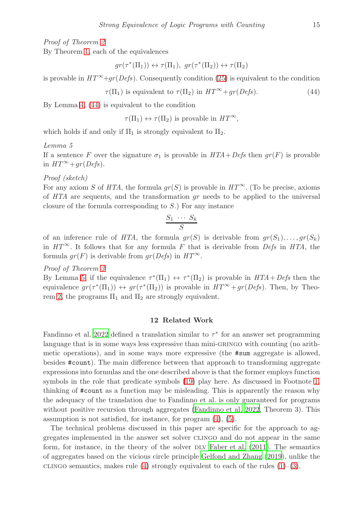*Proof of Theorem [2](#page-9-4)*

By Theorem [1,](#page-9-0) each of the equivalences

$$
gr(\tau^*(\Pi_1)) \leftrightarrow \tau(\Pi_1), gr(\tau^*(\Pi_2)) \leftrightarrow \tau(\Pi_2)
$$

is provable in  $HT^{\infty}+qr(Defs)$ . Consequently condition [\(25\)](#page-9-5) is equivalent to the condition

<span id="page-14-1"></span>
$$
\tau(\Pi_1) \text{ is equivalent to } \tau(\Pi_2) \text{ in } HT^{\infty} + gr(Defs). \tag{44}
$$

By Lemma [4,](#page-13-4) [\(44\)](#page-14-1) is equivalent to the condition

 $\tau(\Pi_1) \leftrightarrow \tau(\Pi_2)$  is provable in  $HT^{\infty}$ ,

<span id="page-14-2"></span>which holds if and only if  $\Pi_1$  is strongly equivalent to  $\Pi_2$ .

### *Lemma 5*

If a sentence F over the signature  $\sigma_1$  is provable in  $HTA+Defs$  then  $gr(F)$  is provable in  $HT^{\infty}+qr(Defs)$ .

*Proof (sketch)*

For any axiom S of *HTA*, the formula  $gr(S)$  is provable in  $HT^{\infty}$ . (To be precise, axioms of *HTA* are sequents, and the transformation gr needs to be applied to the universal closure of the formula corresponding to S.) For any instance

$$
\frac{S_1 \cdots S_k}{S}
$$

of an inference rule of *HTA*, the formula  $gr(S)$  is derivable from  $gr(S_1), \ldots, gr(S_k)$ in  $HT^{\infty}$ . It follows that for any formula F that is derivable from *Defs* in *HTA*, the formula  $qr(F)$  is derivable from  $qr(Defs)$  in  $HT^{\infty}$ .

*Proof of Theorem [3](#page-9-1)*

By Lemma [5,](#page-14-2) if the equivalence  $\tau^*(\Pi_1) \leftrightarrow \tau^*(\Pi_2)$  is provable in  $HTA+Defs$  then the equivalence  $gr(\tau^*(\Pi_1)) \leftrightarrow gr(\tau^*(\Pi_2))$  is provable in  $HT^{\infty} + gr(Defs)$ . Then, by Theo-rem [2,](#page-9-4) the programs  $\Pi_1$  and  $\Pi_2$  are strongly equivalent.

## 12 Related Work

<span id="page-14-0"></span>Fandinno et al. [2022](#page-15-12) defined a translation similar to  $\tau^*$  for an answer set programming language that is in some ways less expressive than mini-GRINGO with counting (no arithmetic operations), and in some ways more expressive (the #sum aggregate is allowed, besides #count). The main difference between that approach to transforming aggregate expressions into formulas and the one described above is that the former employs function symbols in the role that predicate symbols [\(19\)](#page-6-2) play here. As discussed in Footnote [1,](#page-1-2) thinking of #count as a function may be misleading. This is apparently the reason why the adequacy of the translation due to Fandinno et al. is only guaranteed for programs without positive recursion through aggregates [\(Fandinno et al. 2022,](#page-15-12) Theorem 3). This assumption is not satisfied, for instance, for program [\(4\)](#page-1-1), [\(5\)](#page-1-5).

The technical problems discussed in this paper are specific for the approach to aggregates implemented in the answer set solver clingo and do not appear in the same form, for instance, in the theory of the solver  $DLV$  Faber et al.  $(2011)$ . The semantics of aggregates based on the vicious circle principle [Gelfond and Zhang](#page-15-10) [\(2019](#page-15-10)), unlike the clingo semantics, makes rule [\(4\)](#page-1-1) strongly equivalent to each of the rules  $(1)$ –[\(3\)](#page-1-0).